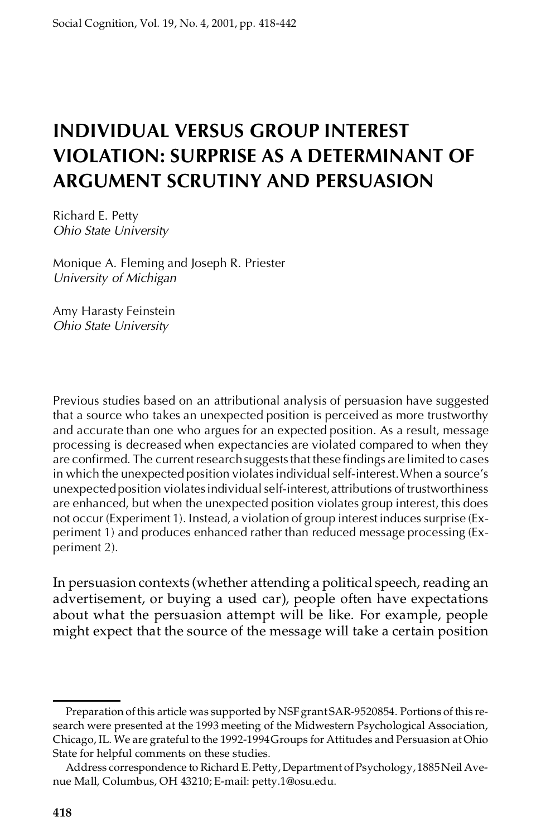# **INDIVIDUAL VERSUS GROUP INTEREST VIOLATION: SURPRISE AS A DETERMINANT OF ARGUMENT SCRUTINY AND PERSUASION**

Richard E. Petty *Ohio State University*

Monique A. Fleming and Joseph R. Priester *University of Michigan*

Amy Harasty Feinstein *Ohio State University*

Previous studies based on an attributional analysis of persuasion have suggested that a source who takes an unexpected position is perceived as more trustworthy and accurate than one who argues for an expected position. As a result, message processing is decreased when expectancies are violated compared to when they are confirmed. The current research suggests that these findings are limited to cases in which the unexpected position violatesindividual self-interest.When a source's unexpectedposition violatesindividualself-interest,attributions of trustworthiness are enhanced, but when the unexpected position violates group interest, this does not occur (Experiment 1). Instead, a violation of group interest induces surprise (Experiment 1) and produces enhanced rather than reduced message processing (Experiment 2).

In persuasion contexts (whether attending a political speech, reading an advertisement, or buying a used car), people often have expectations about what the persuasion attempt will be like. For example, people might expect that the source of the message will take a certain position

Preparation of this article was supported by NSF grant SAR-9520854. Portions of this research were presented at the 1993 meeting of the Midwestern Psychological Association, Chicago, IL. We are grateful to the 1992-1994Groups for Attitudes and Persuasion at Ohio State for helpful comments on these studies.

Address correspondence to Richard E. Petty, Department of Psychology, 1885 Neil Avenue Mall, Columbus, OH 43210; E-mail: petty.1@osu.edu.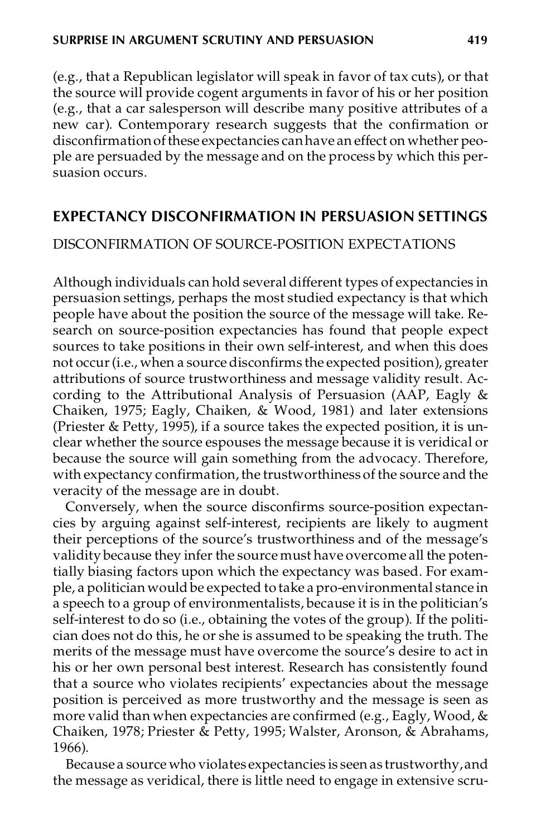(e.g., that a Republican legislator will speak in favor of tax cuts), or that the source will provide cogent arguments in favor of his or her position (e.g., that a car salesperson will describe many positive attributes of a new car). Contemporary research suggests that the confirmation or disconfirmation of these expectancies can have an effect on whether people are persuaded by the message and on the process by which this per suasion occurs.

### **EXPECTANCY DISCONFIRMATION IN PERSUASION SETTINGS**

#### DISCONFIRMATION OF SOURCE-POSITION EXPECTATIONS

Although individuals can hold several different types of expectancies in persuasion settings, perhaps the most studied expectancy is that which people have about the position the source of the message will take. Research on source-position expectancies has found that people expect sources to take positions in their own self-interest, and when this does not occur(i.e., when a source disconfirms the expected position), greater attributions of source trustworthiness and message validity result. According to the Attributional Analysis of Persuasion (AAP, Eagly & Chaiken, 1975; Eagly, Chaiken, & Wood, 1981) and later extensions (Priester & Petty, 1995), if a source takes the expected position, it is unclear whether the source espouses the message because it is veridical or because the source will gain something from the advocacy. Therefore, with expectancy confirmation, the trustworthiness of the source and the veracity of the message are in doubt.

Conversely, when the source disconfirms source-position expectancies by arguing against self-interest, recipients are likely to augment their perceptions of the source's trustworthiness and of the message's validity because they infer the source must have overcome all the potentially biasing factors upon which the expectancy was based. For example, a politician would be expected to take a pro-environmental stance in a speech to a group of environmentalists, because it is in the politician's self-interest to do so (i.e., obtaining the votes of the group). If the politician does not do this, he or she is assumed to be speaking the truth. The merits of the message must have overcome the source's desire to act in his or her own personal best interest. Research has consistently found that a source who violates recipients' expectancies about the message position is perceived as more trustworthy and the message is seen as more valid than when expectancies are confirmed (e.g., Eagly, Wood, & Chaiken, 1978; Priester & Petty, 1995; Walster, Aronson, & Abrahams, 1966).

Because a source who violates expectancies is seen as trustworthy,and the message as veridical, there is little need to engage in extensive scru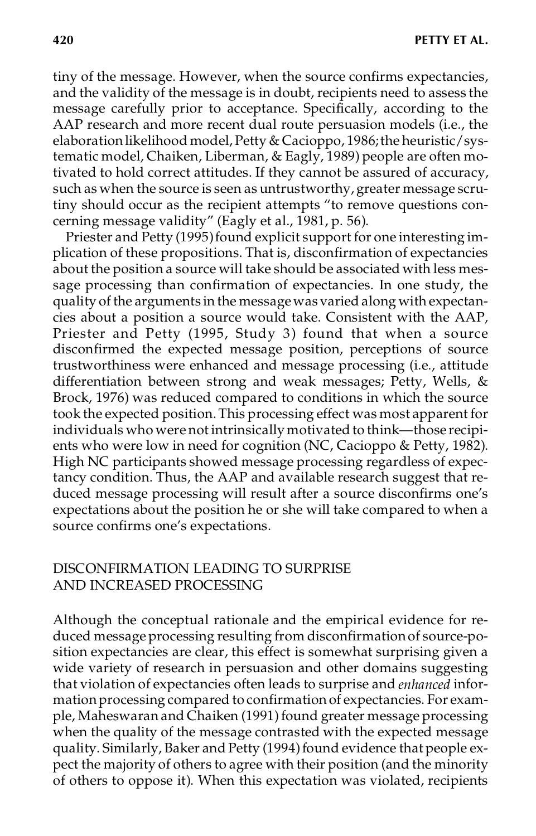tiny of the message. However, when the source confirms expectancies, and the validity of the message is in doubt, recipients need to assess the message carefully prior to acceptance. Specifically, according to the AAP research and more recent dual route persuasion models (i.e., the elaboration likelihood model, Petty & Cacioppo, 1986; the heuristic/systematic model, Chaiken, Liberman, & Eagly, 1989) people are often motivated to hold correct attitudes. If they cannot be assured of accuracy, such as when the source is seen as untrustworthy, greater message scrutiny should occur as the recipient attempts "to remove questions concerning message validity" (Eagly et al., 1981, p. 56).

Priester and Petty (1995) found explicit support for one interesting implication of these propositions. That is, disconfirmation of expectancies about the position a source will take should be associated with less message processing than confirmation of expectancies. In one study, the quality of the arguments in the messagewas varied along with expectancies about a position a source would take. Consistent with the AAP, Priester and Petty (1995, Study 3) found that when a source disconfirmed the expected message position, perceptions of source trustworthiness were enhanced and message processing (i.e., attitude differentiation between strong and weak messages; Petty, Wells, & Brock, 1976) was reduced compared to conditions in which the source took the expected position.This processing effect was most apparent for individuals who were not intrinsically motivated to think—those recipients who were low in need for cognition (NC, Cacioppo & Petty, 1982). High NC participants showed message processing regardless of expectancy condition. Thus, the AAP and available research suggest that reduced message processing will result after a source disconfirms one's expectations about the position he or she will take compared to when a source confirms one's expectations.

#### DISCONFIRMATION LEADING TO SURPRISE AND INCREASED PROCESSING

Although the conceptual rationale and the empirical evidence for reduced message processing resulting from disconfirmationof source-position expectancies are clear, this effect is somewhat surprising given a wide variety of research in persuasion and other domains suggesting that violation of expectancies often leads to surprise and *enhanced* infor mation processing compared to confirmation of expectancies. For example, Maheswaran and Chaiken (1991) found greater message processing when the quality of the message contrasted with the expected message quality. Similarly, Baker and Petty (1994) found evidence that people expect the majority of others to agree with their position (and the minority of others to oppose it). When this expectation was violated, recipients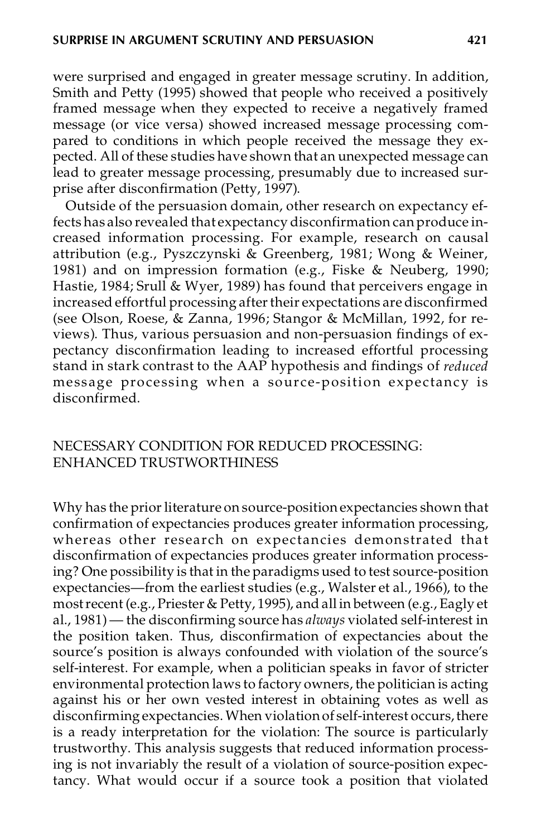were surprised and engaged in greater message scrutiny. In addition, Smith and Petty (1995) showed that people who received a positively framed message when they expected to receive a negatively framed message (or vice versa) showed increased message processing compared to conditions in which people received the message they expected. All of these studies have shown that an unexpected message can lead to greater message processing, presumably due to increased surprise after disconfirmation (Petty, 1997).

Outside of the persuasion domain, other research on expectancy effects has also revealed that expectancy disconfirmation can produce increased information processing. For example, research on causal attribution (e.g., Pyszczynski & Greenberg, 1981; Wong & Weiner, 1981) and on impression formation (e.g., Fiske & Neuberg, 1990; Hastie, 1984; Srull & Wyer, 1989) has found that perceivers engage in increased effortful processing after their expectations are disconfirmed (see Olson, Roese, & Zanna, 1996; Stangor & McMillan, 1992, for reviews). Thus, various persuasion and non-persuasion findings of expectancy disconfirmation leading to increased effortful processing stand in stark contrast to the AAP hypothesis and findings of *reduced* message processing when a source-position expectancy is disconfirmed.

### NECESSARY CONDITION FOR REDUCED PROCESSING: ENHANCED TRUSTWORTHINESS

Why has the prior literature on source-position expectancies shown that confirmation of expectancies produces greater information processing, whereas other research on expectancies demonstrated that disconfirmation of expectancies produces greater information processing? One possibility is that in the paradigms used to test source-position expectancies—from the earliest studies (e.g., Walster et al., 1966), to the mostrecent (e.g., Priester & Petty, 1995), and all in between (e.g., Eagly et al., 1981) — the disconfirming source has *always* violated self-interest in the position taken. Thus, disconfirmation of expectancies about the source's position is always confounded with violation of the source's self-interest. For example, when a politician speaks in favor of stricter environmental protection laws to factory owners, the politician is acting against his or her own vested interest in obtaining votes as well as disconfirming expectancies. When violation of self-interest occurs, there is a ready interpretation for the violation: The source is particularly trustworthy. This analysis suggests that reduced information processing is not invariably the result of a violation of source-position expectancy. What would occur if a source took a position that violated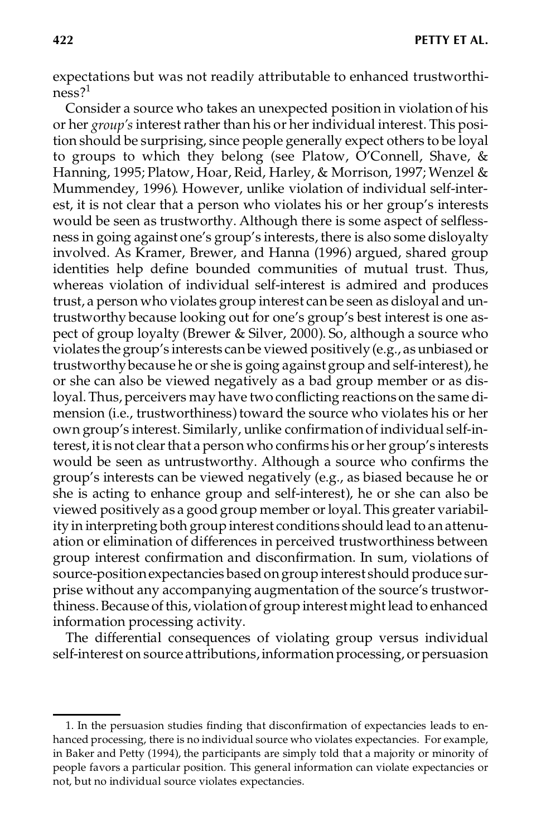expectations but was not readily attributable to enhanced trustworthiness?<sup>1</sup>

Consider a source who takes an unexpected position in violation of his or her *group's* interestrather than his or her individual interest. This position should be surprising, since people generally expect others to be loyal to groups to which they belong (see Platow, O'Connell, Shave, & Hanning, 1995; Platow, Hoar, Reid, Harley, & Morrison, 1997; Wenzel & Mummendey, 1996). However, unlike violation of individual self-interest, it is not clear that a person who violates his or her group's interests would be seen as trustworthy. Although there is some aspect of selflessness in going against one's group's interests, there is also some disloyalty involved. As Kramer, Brewer, and Hanna (1996) argued, shared group identities help define bounded communities of mutual trust. Thus, whereas violation of individual self-interest is admired and produces trust, a person who violates group interest can be seen as disloyal and untrustworthy because looking out for one's group's best interest is one aspect of group loyalty (Brewer & Silver, 2000). So, although a source who violates the group's interests canbe viewed positively (e.g., asunbiased or trustworthybecause he or she is going againstgroup and self-interest), he or she can also be viewed negatively as a bad group member or as disloyal. Thus, perceivers may have two conflicting reactions on the same dimension (i.e., trustworthiness) toward the source who violates his or her own group's interest. Similarly, unlike confirmationof individual self-interest, it is not clear that a person who confirms his or her group's interests would be seen as untrustworthy. Although a source who confirms the group's interests can be viewed negatively (e.g., as biased because he or she is acting to enhance group and self-interest), he or she can also be viewed positively as a good group member orloyal.This greater variability in interpreting both group interest conditions should lead to anattenuation or elimination of differences in perceived trustworthiness between group interest confirmation and disconfirmation. In sum, violations of source-positionexpectancies basedongroup interest should produce surprise without any accompanying augmentation of the source's trustworthiness.Because ofthis, violationof group interestmight lead to enhanced information processing activity.

The differential consequences of violating group versus individual self-interest on source attributions, information processing, or persuasion

<sup>1.</sup> In the persuasion studies finding that disconfirmation of expectancies leads to en hanced processing, there is no individual source who violates expectancies. For example, in Baker and Petty (1994), the participants are simply told that a majority or minority of people favors a particular position. This general information can violate expectancies or not, but no individual source violates expectancies.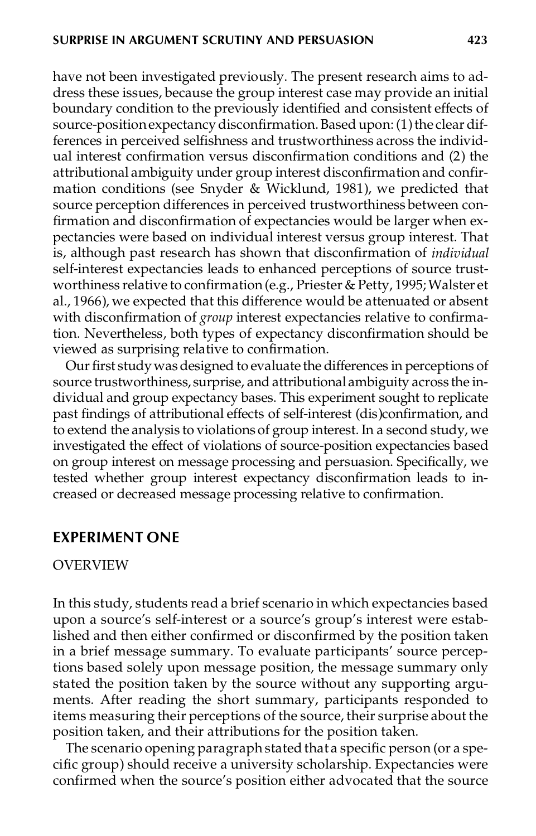have not been investigated previously. The present research aims to address these issues, because the group interest case may provide an initial boundary condition to the previously identified and consistent effects of source-position expectancy disconfirmation. Based upon: (1) the clear differences in perceived selfishness and trustworthiness across the individual interest confirmation versus disconfirmation conditions and (2) the attributional ambiguity under group interest disconfirmation and confirmation conditions (see Snyder & Wicklund, 1981), we predicted that source perception differences in perceived trustworthiness between confirmation and disconfirmation of expectancies would be larger when expectancies were based on individual interest versus group interest. That is, although past research has shown that disconfirmation of *individual* self-interest expectancies leads to enhanced perceptions of source trustworthiness relative to confirmation (e.g., Priester & Petty, 1995; Walster et al., 1966), we expected that this difference would be attenuated or absent with disconfirmation of *group* interest expectancies relative to confirmation. Nevertheless, both types of expectancy disconfirmation should be viewed as surprising relative to confirmation.

Our first study was designed to evaluate the differences in perceptions of source trustworthiness, surprise, and attributional ambiguity across the individual and group expectancy bases. This experiment sought to replicate past findings of attributional effects of self-interest (dis)confirmation, and to extend the analysis to violations of group interest. In a second study, we investigated the effect of violations of source-position expectancies based on group interest on message processing and persuasion. Specifically, we tested whether group interest expectancy disconfirmation leads to increased or decreased message processing relative to confirmation.

#### **EXPERIMENT ONE**

#### OVERVIEW

In this study, students read a brief scenario in which expectancies based upon a source's self-interest or a source's group's interest were established and then either confirmed or disconfirmed by the position taken in a brief message summary. To evaluate participants' source perceptions based solely upon message position, the message summary only stated the position taken by the source without any supporting arguments. After reading the short summary, participants responded to items measuring their perceptions of the source, their surprise about the position taken, and their attributions for the position taken.

The scenario opening paragraph stated that a specific person (or a specific group) should receive a university scholarship. Expectancies were confirmed when the source's position either advocated that the source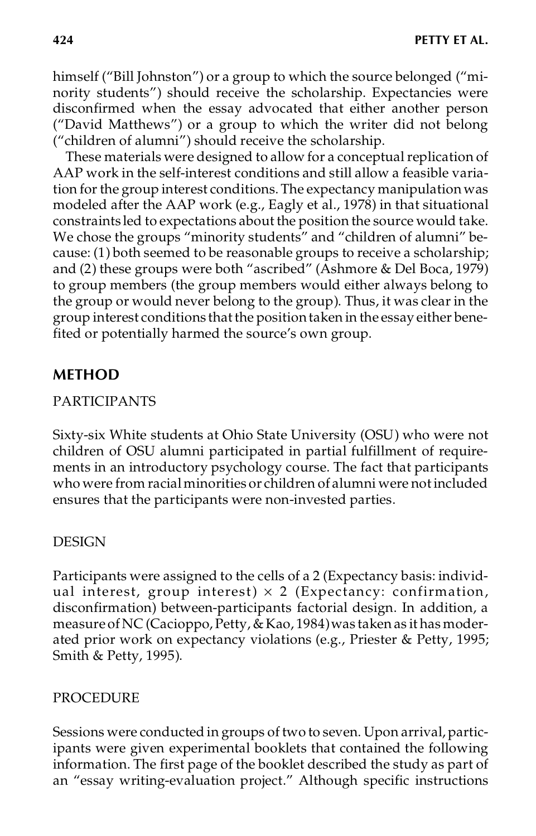himself ("Bill Johnston") or a group to which the source belonged ("minority students") should receive the scholarship. Expectancies were disconfirmed when the essay advocated that either another person ("David Matthews") or a group to which the writer did not belong ("children of alumni") should receive the scholarship.

These materials were designed to allow for a conceptual replication of AAP work in the self-interest conditions and still allow a feasible variation for the group interest conditions. The expectancy manipulation was modeled after the AAP work (e.g., Eagly et al., 1978) in that situational constraints led to expectations about the position the source would take. We chose the groups "minority students" and "children of alumni" because: (1) both seemed to be reasonable groups to receive a scholarship; and (2) these groups were both "ascribed" (Ashmore & Del Boca, 1979) to group members (the group members would either always belong to the group or would never belong to the group). Thus, it was clear in the group interest conditions thatthe positiontaken in the essay either benefited or potentially harmed the source's own group.

# **METHOD**

## PARTICIPANTS

Sixty-six White students at Ohio State University (OSU) who were not children of OSU alumni participated in partial fulfillment of requirements in an introductory psychology course. The fact that participants who were from racial minorities or children of alumni were not included ensures that the participants were non-invested parties.

## DESIGN

Participants were assigned to the cells of a 2 (Expectancy basis: individual interest, group interest)  $\times$  2 (Expectancy: confirmation, disconfirmation) between-participants factorial design. In addition, a measure of NC (Cacioppo, Petty, & Kao, 1984) was taken as it has moderated prior work on expectancy violations (e.g., Priester & Petty, 1995; Smith & Petty, 1995).

## PROCEDURE

Sessions were conducted in groups of two to seven. Upon arrival, participants were given experimental booklets that contained the following information. The first page of the booklet described the study as part of an "essay writing-evaluation project." Although specific instructions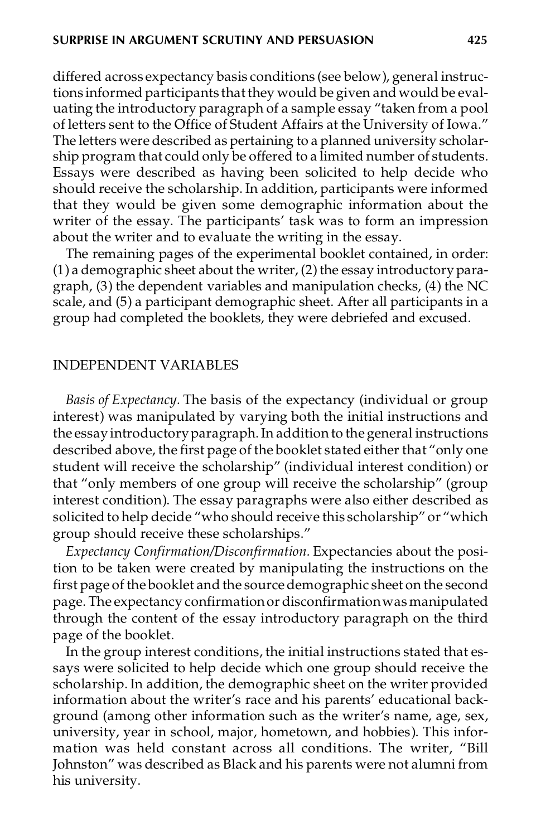differed across expectancy basis conditions (see below), general instructions informed participants thatthey would be given and would be evaluating the introductory paragraph of a sample essay "taken from a pool of letters sent to the Office of Student Affairs at the University of Iowa." The letters were described as pertaining to a planned university scholarship program that could only be offered to a limited number of students. Essays were described as having been solicited to help decide who should receive the scholarship. In addition, participants were informed that they would be given some demographic information about the writer of the essay. The participants' task was to form an impression about the writer and to evaluate the writing in the essay.

The remaining pages of the experimental booklet contained, in order:  $(1)$  a demographic sheet about the writer,  $(2)$  the essay introductory paragraph, (3) the dependent variables and manipulation checks, (4) the NC scale, and (5) a participant demographic sheet. After all participants in a group had completed the booklets, they were debriefed and excused.

#### INDEPENDENT VARIABLES

*Basis of Expectancy.* The basis of the expectancy (individual or group interest) was manipulated by varying both the initial instructions and the essayintroductoryparagraph.In addition to the general instructions described above, the first page of the booklet stated either that "only one student will receive the scholarship" (individual interest condition) or that "only members of one group will receive the scholarship" (group interest condition). The essay paragraphs were also either described as solicited to help decide "who should receive this scholarship" or "which group should receive these scholarships."

*Expectancy Confirmation/Disconfirmation.* Expectancies about the position to be taken were created by manipulating the instructions on the first page of the booklet and the source demographic sheet on the second page. The expectancy confirmation or disconfirmation was manipulated through the content of the essay introductory paragraph on the third page of the booklet.

In the group interest conditions, the initial instructions stated that essays were solicited to help decide which one group should receive the scholarship. In addition, the demographic sheet on the writer provided information about the writer's race and his parents' educational background (among other information such as the writer's name, age, sex, university, year in school, major, hometown, and hobbies). This information was held constant across all conditions. The writer, "Bill Johnston" was described as Black and his parents were not alumni from his university.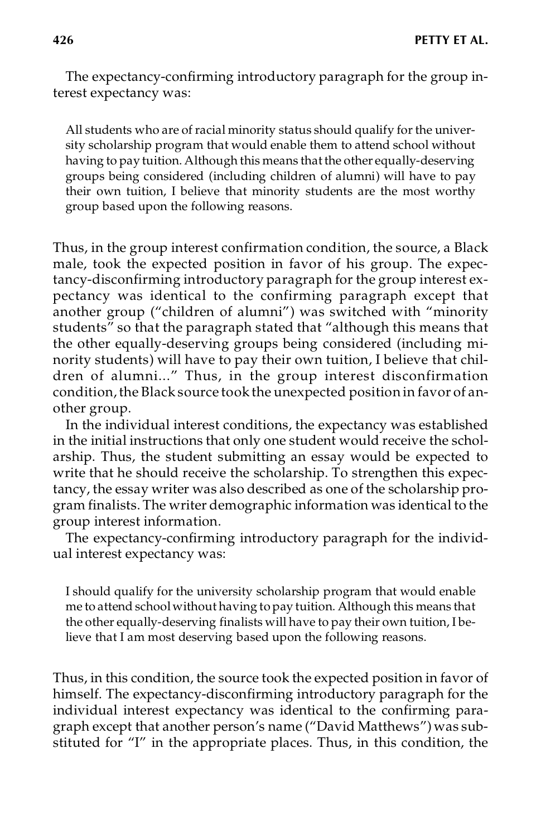The expectancy-confirming introductory paragraph for the group interest expectancy was:

All students who are of racial minority status should qualify for the university scholarship program that would enable them to attend school without having to pay tuition. Although this means that the other equally-deserving groups being considered (including children of alumni) will have to pay their own tuition, I believe that minority students are the most worthy group based upon the following reasons.

Thus, in the group interest confirmation condition, the source, a Black male, took the expected position in favor of his group. The expectancy-disconfirming introductory paragraph for the group interest expectancy was identical to the confirming paragraph except that another group ("children of alumni") was switched with "minority students" so that the paragraph stated that "although this means that the other equally-deserving groups being considered (including minority students) will have to pay their own tuition, I believe that children of alumni..." Thus, in the group interest disconfirmation condition, the Black source took the unexpected position in favor of another group.

In the individual interest conditions, the expectancy was established in the initial instructions that only one student would receive the scholarship. Thus, the student submitting an essay would be expected to write that he should receive the scholarship. To strengthen this expectancy, the essay writer was also described as one of the scholarship program finalists. The writer demographic information was identical to the group interest information.

The expectancy-confirming introductory paragraph for the individual interest expectancy was:

I should qualify for the university scholarship program that would enable me to attend school without having to pay tuition. Although this means that the other equally-deserving finalists will have to pay their own tuition, I believe that I am most deserving based upon the following reasons.

Thus, in this condition, the source took the expected position in favor of himself. The expectancy-disconfirming introductory paragraph for the individual interest expectancy was identical to the confirming paragraph except that another person's name ("David Matthews") was substituted for "I" in the appropriate places. Thus, in this condition, the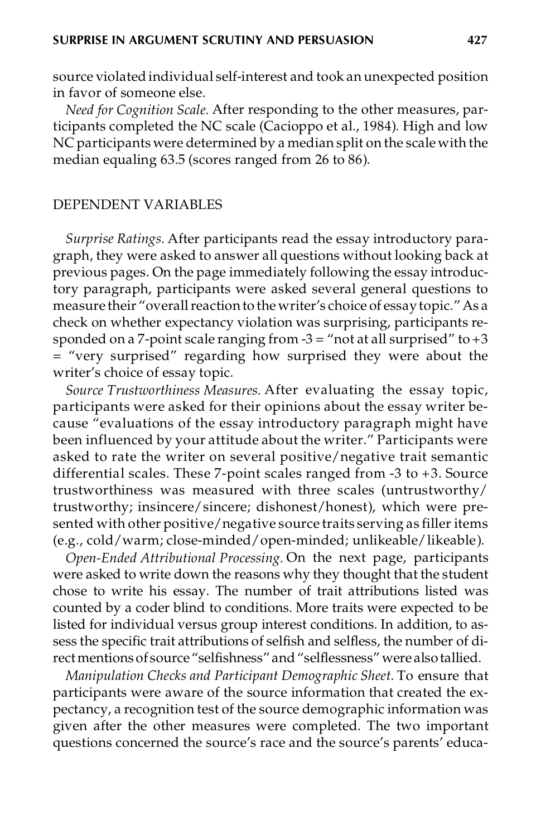source violated individual self-interest and took an unexpected position in favor of someone else.

*Need for Cognition Scale.* After responding to the other measures, participants completed the NC scale (Cacioppo et al., 1984). High and low NC participants were determined by a median split on the scale with the median equaling 63.5 (scores ranged from 26 to 86).

#### DEPENDENT VARIABLES

*Surprise Ratings.* After participants read the essay introductory paragraph, they were asked to answer all questions without looking back at previous pages. On the page immediately following the essay introductory paragraph, participants were asked several general questions to measure their "overall reaction to the writer's choice of essay topic." As a check on whether expectancy violation was surprising, participants responded on a 7-point scale ranging from  $-3 =$  "not at all surprised" to  $+3$ = "very surprised" regarding how surprised they were about the writer's choice of essay topic.

*Source Trustworthiness Measures.* After evaluating the essay topic, participants were asked for their opinions about the essay writer because "evaluations of the essay introductory paragraph might have been influenced by your attitude about the writer." Participants were asked to rate the writer on several positive/negative trait semantic differential scales. These 7-point scales ranged from -3 to +3. Source trustworthiness was measured with three scales (untrustworthy/ trustworthy; insincere/sincere; dishonest/honest), which were presented with other positive/negative source traits serving as filler items (e.g., cold/warm; close-minded/open-minded; unlikeable/likeable).

*Open-Ended Attributional Processing.* On the next page, participants were asked to write down the reasons why they thought that the student chose to write his essay. The number of trait attributions listed was counted by a coder blind to conditions. More traits were expected to be listed for individual versus group interest conditions. In addition, to assess the specific trait attributions of selfish and selfless, the number of directmentionsof source "selfishness" and"selflessness" were alsotallied.

*Manipulation Checks and Participant Demographic Sheet.* To ensure that participants were aware of the source information that created the expectancy, a recognition test of the source demographic information was given after the other measures were completed. The two important questions concerned the source's race and the source's parents' educa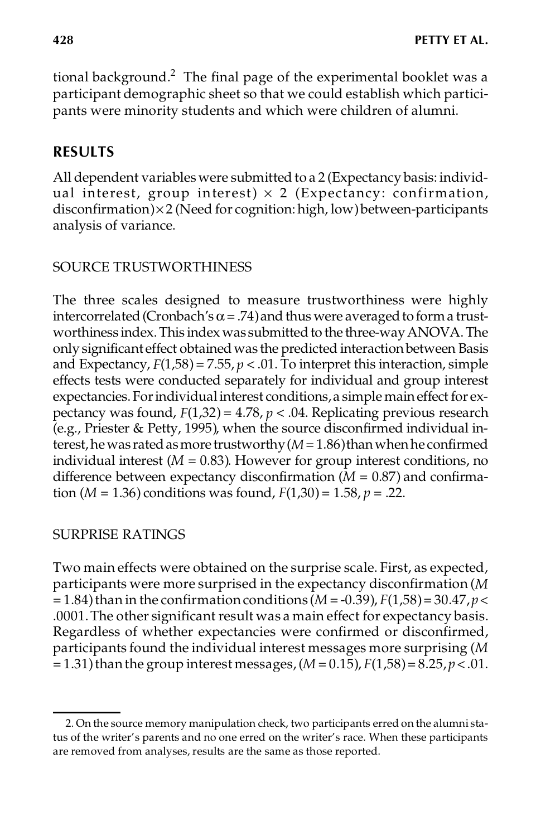tional background.<sup>2</sup> The final page of the experimental booklet was a participant demographic sheet so that we could establish which participants were minority students and which were children of alumni.

# **RESULTS**

All dependent variables were submitted to a 2 (Expectancy basis: individual interest, group interest)  $\times$  2 (Expectancy: confirmation,  $disconfirmation$  $\times$ 2 (Need for cognition: high, low) between-participants analysis of variance.

## SOURCE TRUSTWORTHINESS

The three scales designed to measure trustworthiness were highly intercorrelated (Cronbach's  $\alpha$  = .74) and thus were averaged to form a trustworthiness index. This index was submitted to the three-way ANOVA. The only significant effect obtained was the predicted interaction between Basis and Expectancy,  $F(1,58) = 7.55$ ,  $p < .01$ . To interpret this interaction, simple effects tests were conducted separately for individual and group interest expectancies. For individual interest conditions, a simple main effect for expectancy was found, *F*(1,32) = 4.78, *p* < .04. Replicating previous research (e.g., Priester & Petty, 1995), when the source disconfirmed individual interest, he was rated as more trustworthy  $(M=1.86)$  than when he confirmed individual interest  $(M = 0.83)$ . However for group interest conditions, no difference between expectancy disconfirmation  $(M = 0.87)$  and confirmation (*M* = 1.36) conditions was found,  $F(1,30) = 1.58$ ,  $p = .22$ .

## SURPRISE RATINGS

Two main effects were obtained on the surprise scale. First, as expected, participants were more surprised in the expectancy disconfirmation (*M*  $= 1.84$ ) than in the confirmation conditions (*M* = -0.39),  $F(1,58) = 30.47$ ,  $p <$ .0001.The other significant result was a main effect for expectancy basis. Regardless of whether expectancies were confirmed or disconfirmed, participants found the individual interest messages more surprising (*M* = 1.31)thanthe group interest messages,(*M* = 0.15), *F*(1,58)= 8.25,*p* < .01.

<sup>2.</sup> On the source memory manipulation check, two participants erred on the alumni status of the writer's parents and no one erred on the writer's race. When these participants are removed from analyses, results are the same as those reported.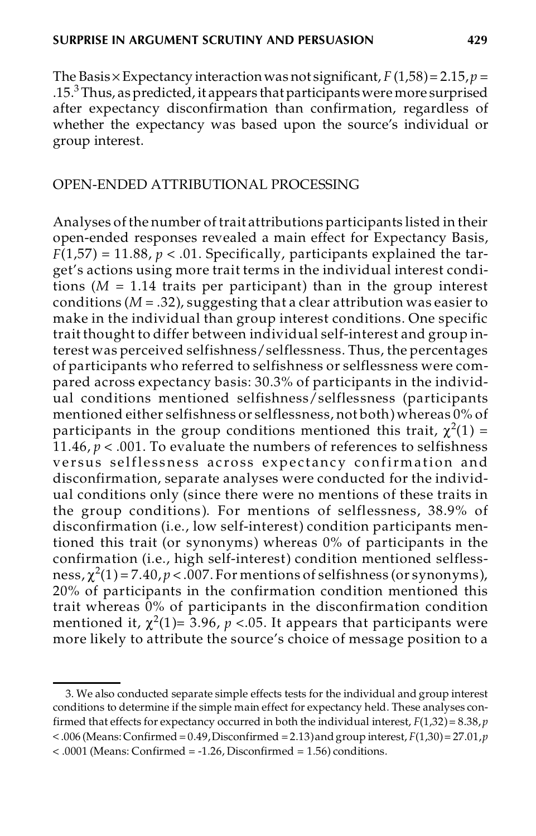The Basis  $\times$  Expectancy interaction was not significant,  $F(1,58) = 2.15$ ,  $p =$ .15.<sup>3</sup> Thus, aspredicted, it appears thatparticipantswere more surprised after expectancy disconfirmation than confirmation, regardless of whether the expectancy was based upon the source's individual or group interest.

#### OPEN-ENDED ATTRIBUTIONAL PROCESSING

Analyses of the number of trait attributions participants listed in their open-ended responses revealed a main effect for Expectancy Basis,  $F(1,57) = 11.88, p < .01$ . Specifically, participants explained the target's actions using more trait terms in the individual interest conditions  $(M = 1.14$  traits per participant) than in the group interest conditions (*M* = .32), suggesting that a clear attribution was easier to make in the individual than group interest conditions. One specific trait thought to differ between individual self-interest and group interest was perceived selfishness/selflessness. Thus, the percentages of participants who referred to selfishness or selflessness were compared across expectancy basis: 30.3% of participants in the individ ual conditions mentioned selfishness/selflessness (participants mentioned either selfishness or selflessness, not both) whereas 0% of participants in the group conditions mentioned this trait,  $\chi^2(1)$  = 11.46,  $p < .001$ . To evaluate the numbers of references to selfishness versus selflessness across expectancy confirmation and disconfirmation, separate analyses were conducted for the individ ual conditions only (since there were no mentions of these traits in the group conditions ). For mentions of selflessness, 38.9% of disconfirmation (i.e., low self-interest) condition participants mentioned this trait (or synonyms) whereas 0% of participants in the confirmation (i.e., high self-interest) condition mentioned selfless ness,  $\chi^2(1)$  = 7.40,  $p < 0.007$ . For mentions of selfishness (or synonyms), 20% of participants in the confirmation condition mentioned this trait whereas 0% of participants in the disconfirmation condition mentioned it,  $\chi^2(1)$ = 3.96,  $p$  <.05. It appears that participants were more likely to attribute the source's choice of message position to a

<sup>3.</sup> We also conducted separate simple effects tests for the individual and group interest conditions to determine if the simple main effect for expectancy held. These analyses confirmed that effects for expectancy occurred in both the individual interest, *F*(1,32)= 8.38,*p*  $<$  0.06 (Means: Confirmed = 0.49, Disconfirmed = 2.13) and group interest,  $F(1,30)$  = 27.01, *p* < .0001 (Means: Confirmed = -1.26, Disconfirmed = 1.56) conditions.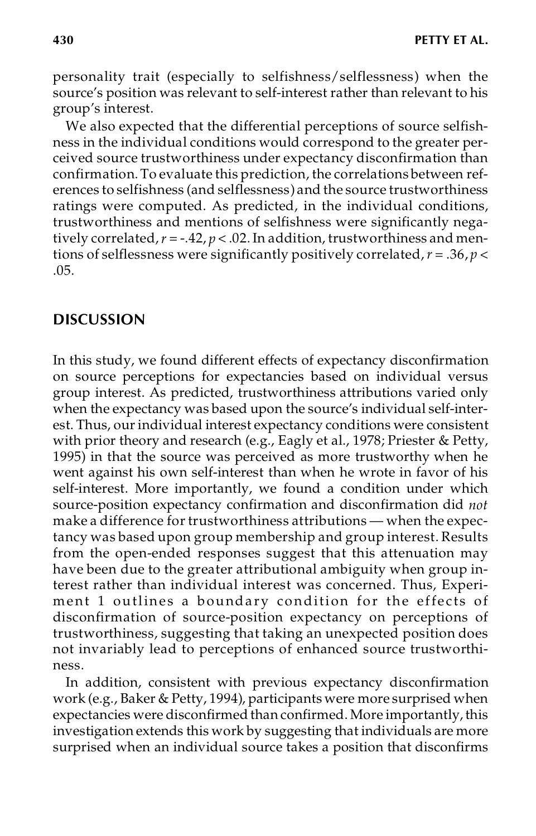personality trait (especially to selfishness/selflessness) when the source's position was relevant to self-interest rather than relevant to his group's interest.

We also expected that the differential perceptions of source selfishness in the individual conditions would correspond to the greater perceived source trustworthiness under expectancy disconfirmation than confirmation. To evaluate this prediction, the correlations between references to selfishness (and selflessness) and the source trustworthiness ratings were computed. As predicted, in the individual conditions, trustworthiness and mentions of selfishness were significantly negatively correlated,  $r = -.42$ ,  $p < .02$ . In addition, trustworthiness and mentions of selflessness were significantly positively correlated,*r* = .36, *p* < .05.

## **DISCUSSION**

In this study, we found different effects of expectancy disconfirmation on source perceptions for expectancies based on individual versus group interest. As predicted, trustworthiness attributions varied only when the expectancy was based upon the source's individual self-interest. Thus, our individual interest expectancy conditions were consistent with prior theory and research (e.g., Eagly et al., 1978; Priester & Petty, 1995) in that the source was perceived as more trustworthy when he went against his own self-interest than when he wrote in favor of his self-interest. More importantly, we found a condition under which source-position expectancy confirmation and disconfirmation did *not* make a difference for trustworthiness attributions — when the expectancy was based upon group membership and group interest. Results from the open-ended responses suggest that this attenuation may have been due to the greater attributional ambiguity when group interest rather than individual interest was concerned. Thus, Experiment 1 outlines a boundary condition for the effects of disconfirmation of source-position expectancy on perceptions of trustworthiness, suggesting that taking an unexpected position does not invariably lead to perceptions of enhanced source trustworthiness.

In addition, consistent with previous expectancy disconfirmation work (e.g., Baker & Petty, 1994), participants were more surprised when expectancies were disconfirmed than confirmed. More importantly, this investigation extends this work by suggesting that individuals are more surprised when an individual source takes a position that disconfirms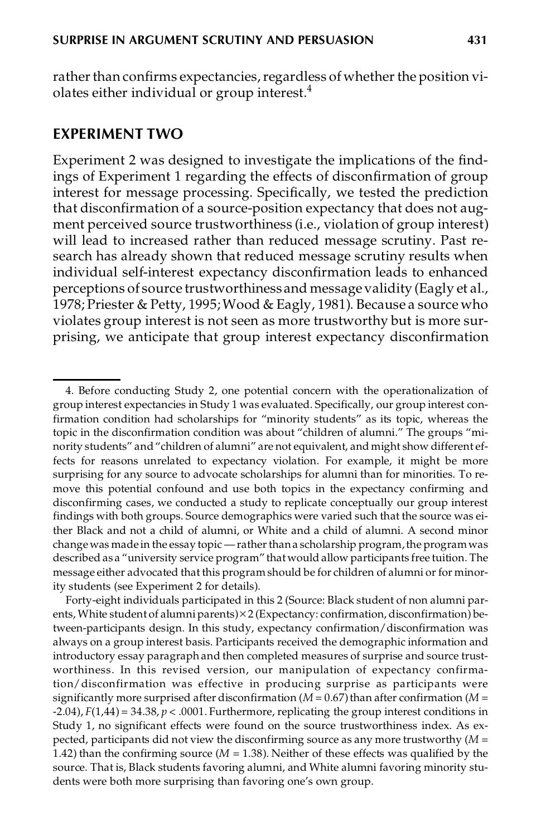rather than confirms expectancies, regardless of whether the position violates either individual or group interest.<sup>4</sup>

#### **EXPERIMENT TWO**

Experiment 2 was designed to investigate the implications of the findings of Experiment 1 regarding the effects of disconfirmation of group interest for message processing. Specifically, we tested the prediction that disconfirmation of a source-position expectancy that does not augment perceived source trustworthiness (i.e., violation of group interest) will lead to increased rather than reduced message scrutiny. Past research has already shown that reduced message scrutiny results when individual self-interest expectancy disconfirmation leads to enhanced perceptions of source trustworthinessand messagevalidity (Eagly et al., 1978; Priester & Petty, 1995;Wood & Eagly, 1981). Because a source who violates group interest is not seen as more trustworthy but is more surprising, we anticipate that group interest expectancy disconfirmation

Forty-eight individuals participated in this 2 (Source: Black student of non alumni parents, White student of alumni parents) $\times$ 2 (Expectancy: confirmation, disconfirmation) between-participants design. In this study, expectancy confirmation/disconfirmation was always on a group interest basis. Participants received the demographic information and introductory essay paragraph and then completed measures of surprise and source trustworthiness. In this revised version, our manipulation of expectancy confirmation/disconfirmation was effective in producing surprise as participants were significantly more surprised after disconfirmation ( $M = 0.67$ ) than after confirmation ( $M =$  $-F(1,44) = 34.38, p < .0001$ . Furthermore, replicating the group interest conditions in Study 1, no significant effects were found on the source trustworthiness index. As ex pected, participants did not view the disconfirming source as any more trustworthy (*M* = 1.42) than the confirming source  $(M = 1.38)$ . Neither of these effects was qualified by the source. That is, Black students favoring alumni, and White alumni favoring minority students were both more surprising than favoring one's own group.

<sup>4.</sup> Before conducting Study 2, one potential concern with the operationalization of group interest expectancies in Study 1 was evaluated. Specifically, our group interest confirmation condition had scholarships for "minority students" as its topic, whereas the topic in the disconfirmation condition was about "children of alumni." The groups "minority students" and"children of alumni" are not equivalent, and might show different effects for reasons unrelated to expectancy violation. For example, it might be more surprising for any source to advocate scholarships for alumni than for minorities. To re move this potential confound and use both topics in the expectancy confirming and disconfirming cases, we conducted a study to replicate conceptually our group interest findings with both groups. Source demographics were varied such that the source was either Black and not a child of alumni, or White and a child of alumni. A second minor change was made in the essay topic — rather than a scholarship program, the program was described as a "university service program" that would allow participants free tuition. The message either advocated that this program should be for children of alumni or for minority students (see Experiment 2 for details).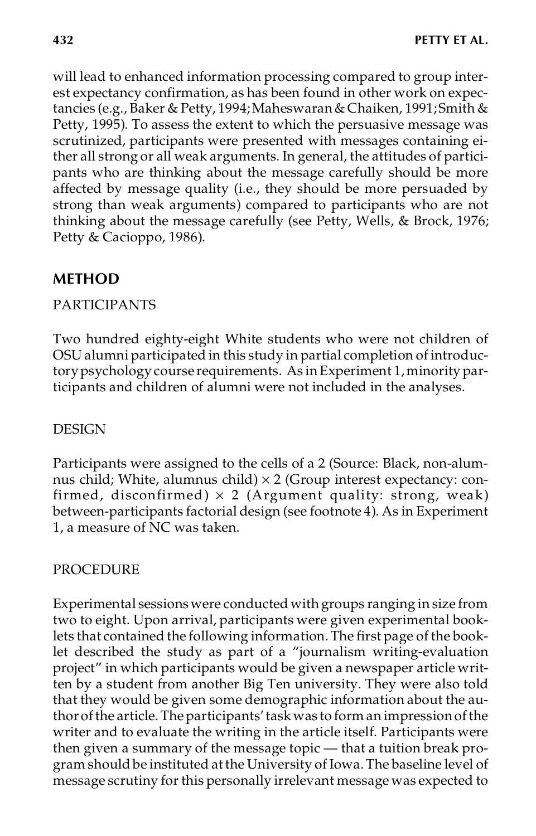will lead to enhanced information processing compared to group interest expectancy confirmation, as has been found in other work on expectancies (e.g., Baker & Petty, 1994;Maheswaran& Chaiken, 1991;Smith & Petty, 1995). To assess the extent to which the persuasive message was scrutinized, participants were presented with messages containing either all strong or all weak arguments. In general, the attitudes of partici pants who are thinking about the message carefully should be more affected by message quality (i.e., they should be more persuaded by strong than weak arguments) compared to participants who are not thinking about the message carefully (see Petty, Wells, & Brock, 1976; Petty & Cacioppo, 1986).

## **METHOD**

## PARTICIPANTS

Two hundred eighty-eight White students who were not children of OSU alumni participated in this study in partial completion of introductorypsychology course requirements. As inExperiment 1,minority participants and children of alumni were not included in the analyses.

## DESIGN

Participants were assigned to the cells of a 2 (Source: Black, non-alumnus child; White, alumnus child)  $\times$  2 (Group interest expectancy: confirmed, disconfirmed)  $\times$  2 (Argument quality: strong, weak) between-participants factorial design (see footnote 4). As in Experiment 1, a measure of NC was taken.

## PROCEDURE

Experimental sessionswere conducted with groups ranging in size from two to eight. Upon arrival, participants were given experimental booklets that contained the following information. The first page of the booklet described the study as part of a "journalism writing-evaluation project" in which participants would be given a newspaper article written by a student from another Big Ten university. They were also told that they would be given some demographic information about the authorofthe article.The participants'task was to form an impressionofthe writer and to evaluate the writing in the article itself. Participants were then given a summary of the message topic — that a tuition break program should be instituted atthe University of Iowa.The baseline level of message scrutiny for this personally irrelevant message was expected to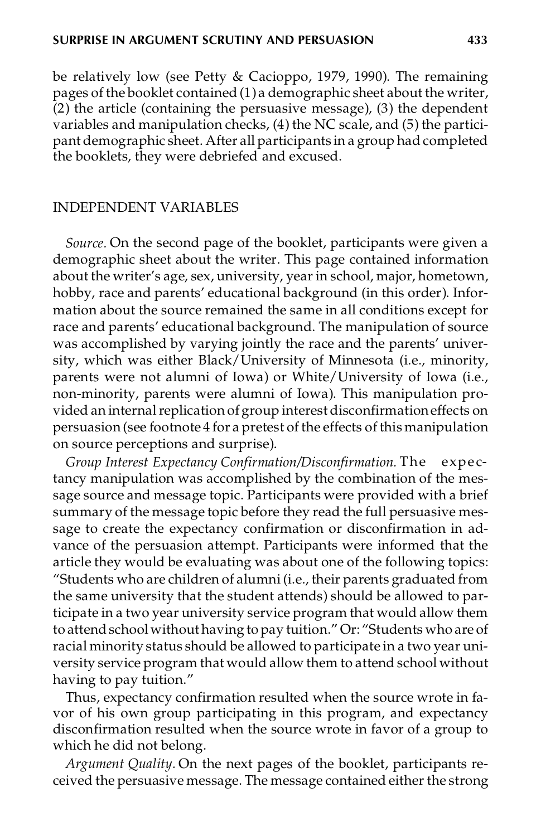be relatively low (see Petty & Cacioppo, 1979, 1990). The remaining pages of the booklet contained (1) a demographic sheet about the writer,  $(2)$  the article (containing the persuasive message), (3) the dependent variables and manipulation checks, (4) the NC scale, and (5) the participant demographic sheet. After all participants in a group had completed the booklets, they were debriefed and excused.

#### INDEPENDENT VARIABLES

*Source.* On the second page of the booklet, participants were given a demographic sheet about the writer. This page contained information about the writer's age, sex, university, yearin school, major, hometown, hobby, race and parents' educational background (in this order). Information about the source remained the same in all conditions except for race and parents' educational background. The manipulation of source was accomplished by varying jointly the race and the parents' university, which was either Black/University of Minnesota (i.e., minority, parents were not alumni of Iowa) or White/University of Iowa (i.e., non-minority, parents were alumni of Iowa). This manipulation provided an internal replication of group interest disconfirmation effects on persuasion (see footnote 4 for a pretest of the effects of this manipulation on source perceptions and surprise).

*Group Interest Expectancy Confirmation/Disconfirmation.* The expe ctancy manipulation was accomplished by the combination of the message source and message topic. Participants were provided with a brief summary of the message topic before they read the full persuasive message to create the expectancy confirmation or disconfirmation in advance of the persuasion attempt. Participants were informed that the article they would be evaluating was about one of the following topics: "Students who are children of alumni (i.e., their parents graduated from the same university that the student attends) should be allowed to participate in a two year university service program that would allow them to attend school without having to pay tuition." Or: "Students who are of racial minority status should be allowed to participate in a two year university service program that would allow them to attend school without having to pay tuition."

Thus, expectancy confirmation resulted when the source wrote in favor of his own group participating in this program, and expectancy disconfirmation resulted when the source wrote in favor of a group to which he did not belong.

*Argument Quality.* On the next pages of the booklet, participants received the persuasive message. The message contained either the strong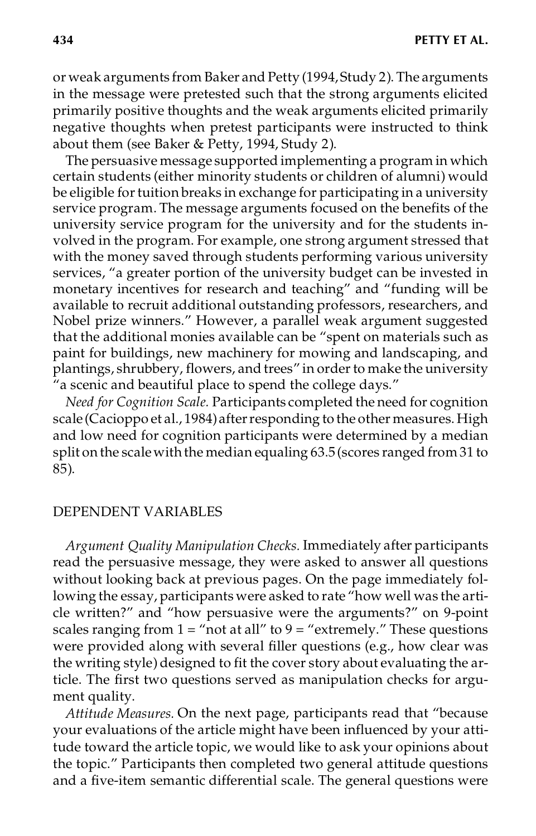or weak arguments from Baker and Petty (1994,Study 2). The arguments in the message were pretested such that the strong arguments elicited primarily positive thoughts and the weak arguments elicited primarily negative thoughts when pretest participants were instructed to think about them (see Baker & Petty, 1994, Study 2).

The persuasive message supported implementing a program in which certain students (either minority students or children of alumni) would be eligible for tuition breaks in exchange for participating in a university service program. The message arguments focused on the benefits of the university service program for the university and for the students involved in the program. For example, one strong argument stressed that with the money saved through students performing various university services, "a greater portion of the university budget can be invested in monetary incentives for research and teaching" and "funding will be available to recruit additional outstanding professors, researchers, and Nobel prize winners." However, a parallel weak argument suggested that the additional monies available can be "spent on materials such as paint for buildings, new machinery for mowing and landscaping, and plantings, shrubbery, flowers, and trees" in order to make the university  $\tilde{u}$  a scenic and beautiful place to spend the college days."

*Need for Cognition Scale.* Participants completed the need for cognition scale (Cacioppo et al., 1984)afterresponding to the other measures. High and low need for cognition participants were determined by a median split on the scale with the median equaling 63.5 (scores ranged from 31 to 85).

#### DEPENDENT VARIABLES

*Argument Quality Manipulation Checks.* Immediately after participants read the persuasive message, they were asked to answer all questions without looking back at previous pages. On the page immediately following the essay, participants were asked to rate "how well was the article written?" and "how persuasive were the arguments?" on 9-point scales ranging from  $1 = \text{``not at all''}$  to  $9 = \text{``extremely."}$  These questions were provided along with several filler questions (e.g., how clear was the writing style) designed to fit the cover story about evaluating the article. The first two questions served as manipulation checks for argument quality.

*Attitude Measures.* On the next page, participants read that "because your evaluations of the article might have been influenced by your attitude toward the article topic, we would like to ask your opinions about the topic." Participants then completed two general attitude questions and a five-item semantic differential scale. The general questions were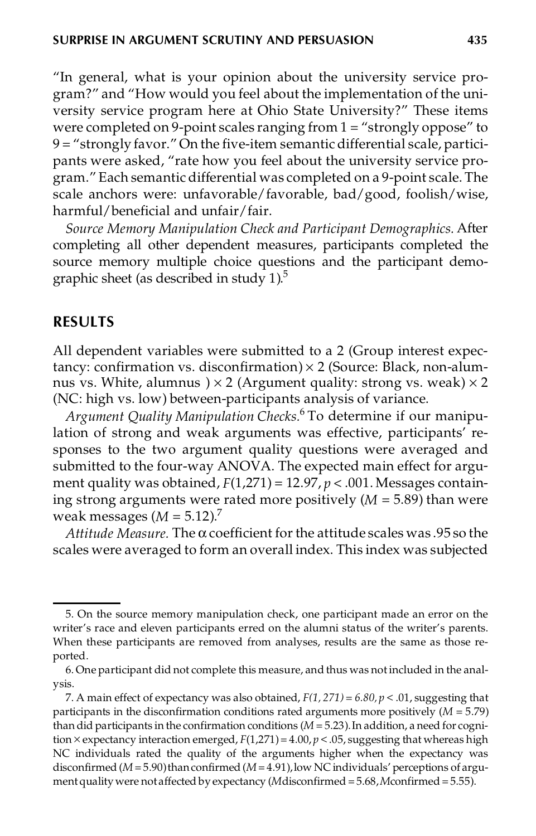"In general, what is your opinion about the university service program?" and "How would you feel about the implementation of the university service program here at Ohio State University?" These items were completed on 9-point scales ranging from 1 = "strongly oppose" to 9 = "strongly favor."On the five-item semantic differential scale, participants were asked, "rate how you feel about the university service program." Each semantic differential was completed on a 9-point scale. The scale anchors were: unfavorable/favorable, bad/good, foolish/wise, harmful/beneficial and unfair/fair.

*Source Memory Manipulation Check and Participant Demographics.* After completing all other dependent measures, participants completed the source memory multiple choice questions and the participant demographic sheet (as described in study  $1$ ).<sup>5</sup>

#### **RESULTS**

All dependent variables were submitted to a 2 (Group interest expectancy: confirmation vs. disconfirmation)  $\times$  2 (Source: Black, non-alumnus vs. White, alumnus  $) \times 2$  (Argument quality: strong vs. weak)  $\times 2$ (NC: high vs. low) between-participants analysis of variance.

*Argument Quality Manipulation Checks.*<sup>6</sup> To determine if our manipulation of strong and weak arguments was effective, participants' responses to the two argument quality questions were averaged and submitted to the four-way ANOVA. The expected main effect for argu ment quality was obtained,  $F(1,271) = 12.97$ ,  $p < .001$ . Messages containing strong arguments were rated more positively (*M* = 5.89) than were weak messages  $(M = 5.12)^7$ 

*Attitude Measure.* The  $\alpha$  coefficient for the attitude scales was .95 so the scales were averaged to form an overall index. This index was subjected

<sup>5.</sup> On the source memory manipulation check, one participant made an error on the writer's race and eleven participants erred on the alumni status of the writer's parents. When these participants are removed from analyses, results are the same as those re ported.

<sup>6.</sup> One participant did not complete this measure, and thus was notincluded in the analysis.

<sup>7.</sup> A main effect of expectancy was also obtained,  $F(1, 271) = 6.80$ ,  $p < .01$ , suggesting that participants in the disconfirmation conditions rated arguments more positively (*M* = 5.79) than did participants in the confirmation conditions (*M* = 5.23).In addition, a need for cognition  $\times$  expectancy interaction emerged,  $F(1,271) = 4.00$ ,  $p < .05$ , suggesting that whereas high NC individuals rated the quality of the arguments higher when the expectancy was disconfirmed  $(M = 5.90)$  than confirmed  $(M = 4.91)$ , low NC individuals' perceptions of argumentquality were notaffected byexpectancy (*M*disconfirmed = 5.68,*M*confirmed = 5.55).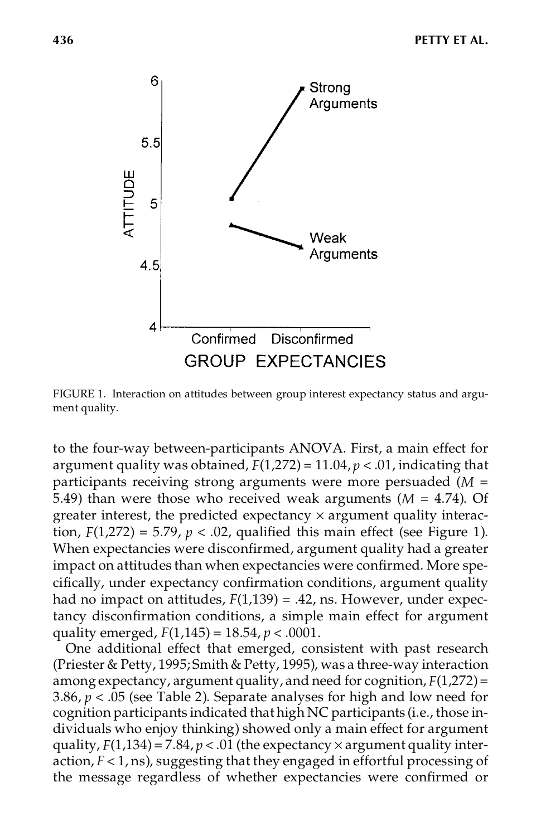

FIGURE 1. Interaction on attitudes between group interest expectancy status and argument quality.

to the four-way between-participants ANOVA. First, a main effect for argument quality was obtained, *F*(1,272) = 11.04, *p* < .01, indicating that participants receiving strong arguments were more persuaded (*M* = 5.49) than were those who received weak arguments  $(M = 4.74)$ . Of greater interest, the predicted expectancy  $\times$  argument quality interaction,  $F(1,272) = 5.79$ ,  $p < 0.02$ , qualified this main effect (see Figure 1). When expectancies were disconfirmed, argument quality had a greater impact on attitudes than when expectancies were confirmed. More specifically, under expectancy confirmation conditions, argument quality had no impact on attitudes, *F*(1,139) = .42, ns. However, under expectancy disconfirmation conditions, a simple main effect for argument quality emerged, *F*(1,145) = 18.54, *p* < .0001.

One additional effect that emerged, consistent with past research (Priester & Petty, 1995; Smith & Petty, 1995), was a three-way interaction among expectancy, argument quality, and need for cognition, *F*(1,272)= 3.86, *p* < .05 (see Table 2). Separate analyses for high and low need for cognition participants indicated that high NC participants (i.e., those individuals who enjoy thinking) showed only a main effect for argument quality,  $F(1,134) = 7.84$ ,  $p < .01$  (the expectancy  $\times$  argument quality interaction, *F* < 1, ns), suggesting that they engaged in effortful processing of the message regardless of whether expectancies were confirmed or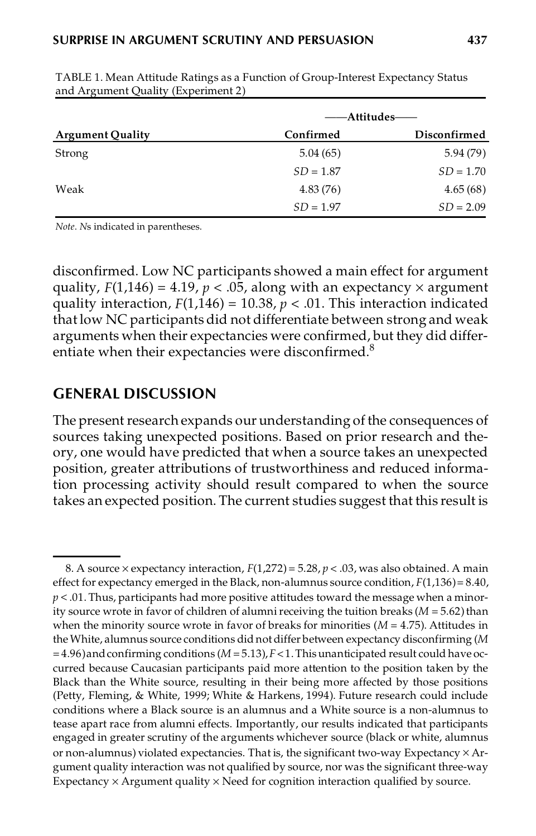|  | 4. |  |
|--|----|--|
|  |    |  |

|                         | ——Attitudes—— |              |
|-------------------------|---------------|--------------|
| <b>Argument Quality</b> | Confirmed     | Disconfirmed |
| Strong                  | 5.04(65)      | 5.94(79)     |
|                         | $SD = 1.87$   | $SD = 1.70$  |
| Weak                    | 4.83(76)      | 4.65(68)     |
|                         | $SD = 1.97$   | $SD = 2.09$  |

TABLE 1. Mean Attitude Ratings as a Function of Group-Interest Expectancy Status and Argument Quality (Experiment 2)

*Note*. *N*s indicated in parentheses.

disconfirmed. Low NC participants showed a main effect for argument quality,  $F(1,146) = 4.19$ ,  $p < .05$ , along with an expectancy  $\times$  argument quality interaction,  $F(1,146) = 10.38$ ,  $p < .01$ . This interaction indicated that low NC participants did not differentiate between strong and weak arguments when their expectancies were confirmed, but they did differentiate when their expectancies were disconfirmed.<sup>8</sup>

## **GENERAL DISCUSSION**

The present research expands our understanding of the consequences of sources taking unexpected positions. Based on prior research and theory, one would have predicted that when a source takes an unexpected position, greater attributions of trustworthiness and reduced information processing activity should result compared to when the source takes an expected position. The current studies suggest that this result is

<sup>8.</sup> A source  $\times$  expectancy interaction,  $F(1,272) = 5.28$ ,  $p < .03$ , was also obtained. A main effect for expectancy emerged in the Black, non-alumnus source condition, *F*(1,136)= 8.40,  $p < 0.01$ . Thus, participants had more positive attitudes toward the message when a minority source wrote in favor of children of alumni receiving the tuition breaks  $(M = 5.62)$  than when the minority source wrote in favor of breaks for minorities (*M* = 4.75). Attitudes in theWhite, alumnus source conditions did notdiffer between expectancy disconfirming (*M*  $=$  4.96) and confirming conditions ( $M = 5.13$ ),  $F < 1$ . This unanticipated result could have occurred because Caucasian participants paid more attention to the position taken by the Black than the White source, resulting in their being more affected by those positions (Petty, Fleming, & White, 1999; White & Harkens, 1994). Future research could include conditions where a Black source is an alumnus and a White source is a non-alumnus to tease apart race from alumni effects. Importantly, our results indicated that participants engaged in greater scrutiny of the arguments whichever source (black or white, alumnus or non-alumnus) violated expectancies. That is, the significant two-way Expectancy  $\times$  Argument quality interaction was not qualified by source, nor was the significant three-way Expectancy  $\times$  Argument quality  $\times$  Need for cognition interaction qualified by source.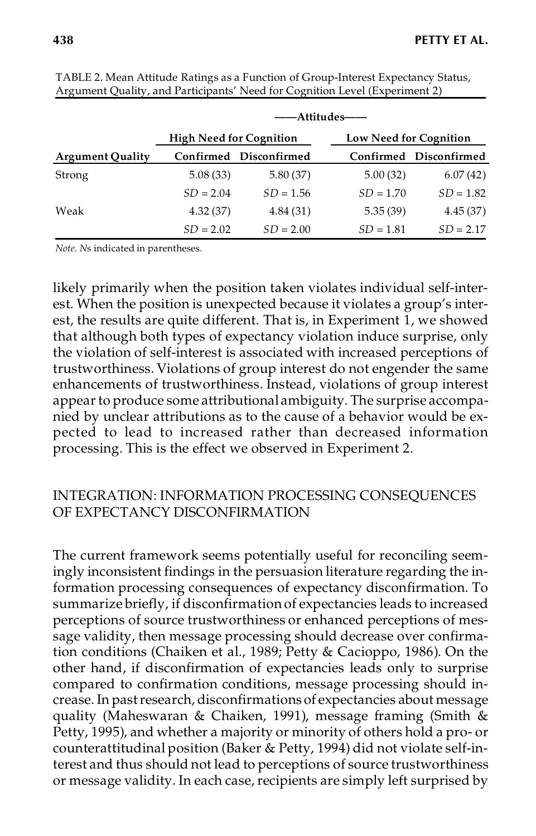|                         | ——Attitudes——                  |                        |                               |                        |  |
|-------------------------|--------------------------------|------------------------|-------------------------------|------------------------|--|
|                         | <b>High Need for Cognition</b> |                        | <b>Low Need for Cognition</b> |                        |  |
| <b>Argument Quality</b> |                                | Confirmed Disconfirmed |                               | Confirmed Disconfirmed |  |
| Strong                  | 5.08(33)                       | 5.80(37)               | 5.00(32)                      | 6.07(42)               |  |
|                         | $SD = 2.04$                    | $SD = 1.56$            | $SD = 1.70$                   | $SD = 1.82$            |  |
| Weak                    | 4.32(37)                       | 4.84(31)               | 5.35(39)                      | 4.45(37)               |  |
|                         | $SD = 2.02$                    | $SD = 2.00$            | $SD = 1.81$                   | $SD = 2.17$            |  |

TABLE 2. Mean Attitude Ratings as a Function of Group-Interest Expectancy Status, Argument Quality, and Participants' Need for Cognition Level (Experiment 2)

*Note*. *N*s indicated in parentheses.

likely primarily when the position taken violates individual self-interest. When the position is unexpected because it violates a group's interest, the results are quite different. That is, in Experiment 1, we showed that although both types of expectancy violation induce surprise, only the violation of self-interest is associated with increased perceptions of trustworthiness. Violations of group interest do not engender the same enhancements of trustworthiness. Instead, violations of group interest appearto produce some attributional ambiguity. The surprise accompanied by unclear attributions as to the cause of a behavior would be expected to lead to increased rather than decreased information processing. This is the effect we observed in Experiment 2.

## INTEGRATION: INFORMATION PROCESSING CONSEQUENCES OF EXPECTANCY DISCONFIRMATION

The current framework seems potentially useful for reconciling seemingly inconsistent findings in the persuasion literature regarding the information processing consequences of expectancy disconfirmation. To summarize briefly, if disconfirmation of expectancies leads to increased perceptions of source trustworthiness or enhanced perceptions of message validity, then message processing should decrease over confirmation conditions (Chaiken et al., 1989; Petty & Cacioppo, 1986). On the other hand, if disconfirmation of expectancies leads only to surprise compared to confirmation conditions, message processing should in crease. In pastresearch, disconfirmations of expectancies about message quality (Maheswaran & Chaiken, 1991), message framing (Smith & Petty, 1995), and whether a majority or minority of others hold a pro- or counterattitudinal position (Baker & Petty, 1994) did not violate self-interest and thus should not lead to perceptions of source trustworthiness or message validity. In each case, recipients are simply left surprised by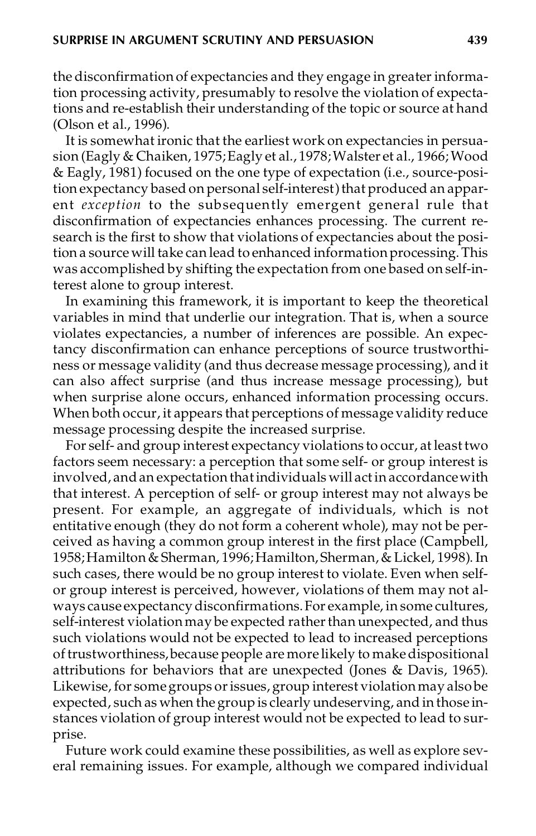the disconfirmation of expectancies and they engage in greater information processing activity, presumably to resolve the violation of expectations and re-establish their understanding of the topic or source at hand (Olson et al., 1996).

It is somewhat ironic that the earliest work on expectancies in persuasion (Eagly & Chaiken, 1975; Eagly et al., 1978; Walster et al., 1966; Wood & Eagly, 1981) focused on the one type of expectation (i.e., source-position expectancy based on personal self-interest) that produced an apparent *exception* to the subsequently emergent general rule that disconfirmation of expectancies enhances processing. The current research is the first to show that violations of expectancies about the position a source will take can lead to enhanced information processing. This was accomplished by shifting the expectation from one based on self-interest alone to group interest.

In examining this framework, it is important to keep the theoretical variables in mind that underlie our integration. That is, when a source violates expectancies, a number of inferences are possible. An expectancy disconfirmation can enhance perceptions of source trustworthiness or message validity (and thus decrease message processing), and it can also affect surprise (and thus increase message processing), but when surprise alone occurs, enhanced information processing occurs. When both occur, it appears that perceptions of message validity reduce message processing despite the increased surprise.

For self- and group interest expectancy violations to occur, at leasttwo factors seem necessary: a perception that some self- or group interest is involved, andan expectationthatindividuals will actin accordancewith that interest. A perception of self- or group interest may not always be present. For example, an aggregate of individuals, which is not entitative enough (they do not form a coherent whole), may not be perceived as having a common group interest in the first place (Campbell, 1958; Hamilton & Sherman, 1996; Hamilton, Sherman, & Lickel, 1998). In such cases, there would be no group interest to violate. Even when selfor group interest is perceived, however, violations of them may not always cause expectancydisconfirmations.For example, in some cultures, self-interest violation may be expected rather than unexpected, and thus such violations would not be expected to lead to increased perceptions oftrustworthiness,because people are more likely to makedispositional attributions for behaviors that are unexpected (Jones & Davis, 1965). Likewise, for some groups or issues, group interest violation may also be expected, such as when the group is clearly undeserving, and in those instances violation of group interest would not be expected to lead to surprise.

Future work could examine these possibilities, as well as explore several remaining issues. For example, although we compared individual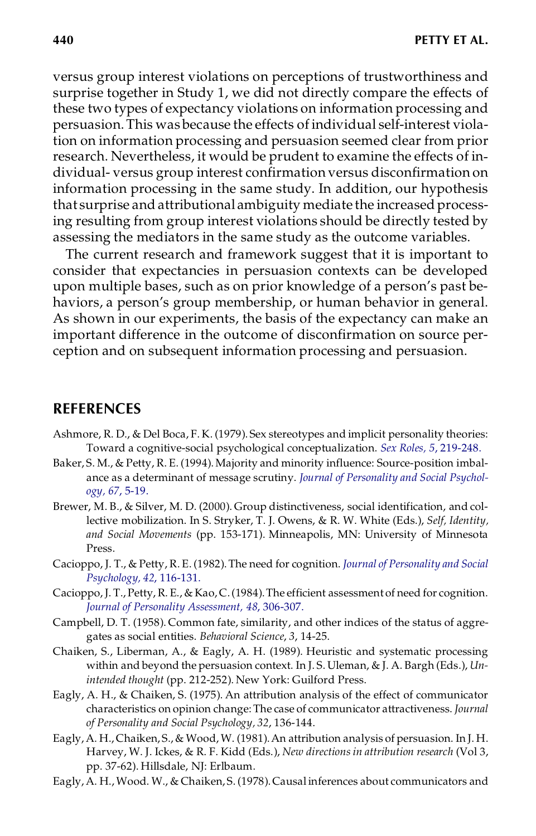versus group interest violations on perceptions of trustworthiness and surprise together in Study 1, we did not directly compare the effects of these two types of expectancy violations on information processing and persuasion.This was because the effects of individual self-interest violation on information processing and persuasion seemed clear from prior research. Nevertheless, it would be prudent to examine the effects of in dividual- versus group interest confirmation versus disconfirmation on information processing in the same study. In addition, our hypothesis that surprise and attributional ambiguity mediate the increased processing resulting from group interest violations should be directly tested by assessing the mediators in the same study as the outcome variables.

The current research and framework suggest that it is important to consider that expectancies in persuasion contexts can be developed upon multiple bases, such as on prior knowledge of a person's past behaviors, a person's group membership, or human behavior in general. As shown in our experiments, the basis of the expectancy can make an important difference in the outcome of disconfirmation on source perception and on subsequent information processing and persuasion.

#### **REFERENCES**

- Ashmore, R. D., & Del Boca, F. K. (1979). Sex stereotypes and implicit personality theories: Toward a cognitive-social psychological conceptualization. *[Sex Roles, 5](http://fidelio.ingentaselect.com/nw=1/rpsv/cgi-bin/linker?ext=a&reqidx=/0360-0025^28^295L.219[aid=1969538])*, 219-248.
- Baker, S. M., & Petty, R. E. (1994).Majority and minority influence: Source-position imbal ance as a determinant of message scrutiny. *Journal of [Personality](http://fidelio.ingentaselect.com/nw=1/rpsv/cgi-bin/linker?ext=a&reqidx=/0022-3514^28^2967L.5[aid=137105]) and Social Psychol[ogy, 67](http://fidelio.ingentaselect.com/nw=1/rpsv/cgi-bin/linker?ext=a&reqidx=/0022-3514^28^2967L.5[aid=137105])*, 5-19.
- Brewer, M. B., & Silver, M. D. (2000). Group distinctiveness, social identification, and collective mobilization. In S.Stryker, T. J. Owens, & R. W. White (Eds.), *Self, Identity, and Social Movements* (pp. 153-171). Minneapolis, MN: University of Minnesota Press.
- Cacioppo, J. T., & Petty, R. E. (1982).The need for cognition. *Journal of [Personality](http://fidelio.ingentaselect.com/nw=1/rpsv/cgi-bin/linker?ext=a&reqidx=/0022-3514^28^2942L.116[aid=260286]) and Social [Psychology, 42](http://fidelio.ingentaselect.com/nw=1/rpsv/cgi-bin/linker?ext=a&reqidx=/0022-3514^28^2942L.116[aid=260286])*, 116-131.
- Cacioppo, J. T., Petty, R. E., & Kao, C.(1984).The efficient assessment of need for cognition. *[Journal of Personality Assessment, 48](http://fidelio.ingentaselect.com/nw=1/rpsv/cgi-bin/linker?ext=a&reqidx=/0022-3891^28^2948L.306[aid=294152])*, 306-307.
- Campbell, D. T. (1958). Common fate, similarity, and other indices of the status of aggregates as social entities. *Behavioral Science*, *3*, 14-25.
- Chaiken, S., Liberman, A., & Eagly, A. H. (1989). Heuristic and systematic processing within and beyond the persuasion context. In J. S. Uleman, & J. A. Bargh (Eds.), *Unintended thought* (pp. 212-252). New York: Guilford Press.
- Eagly, A. H., & Chaiken, S. (1975). An attribution analysis of the effect of communicator characteristics on opinion change:The case of communicator attractiveness. *Journal of Personality and Social Psychology, 32*, 136-144.
- Eagly, A. H., Chaiken, S., & Wood, W. (1981). An attribution analysis of persuasion. In J. H. Harvey, W. J. Ickes, & R. F. Kidd (Eds.), *New directionsin attribution research* (Vol 3, pp. 37-62). Hillsdale, NJ: Erlbaum.
- Eagly,A. H.,Wood. W., & Chaiken, S.(1978). Causal inferences about communicators and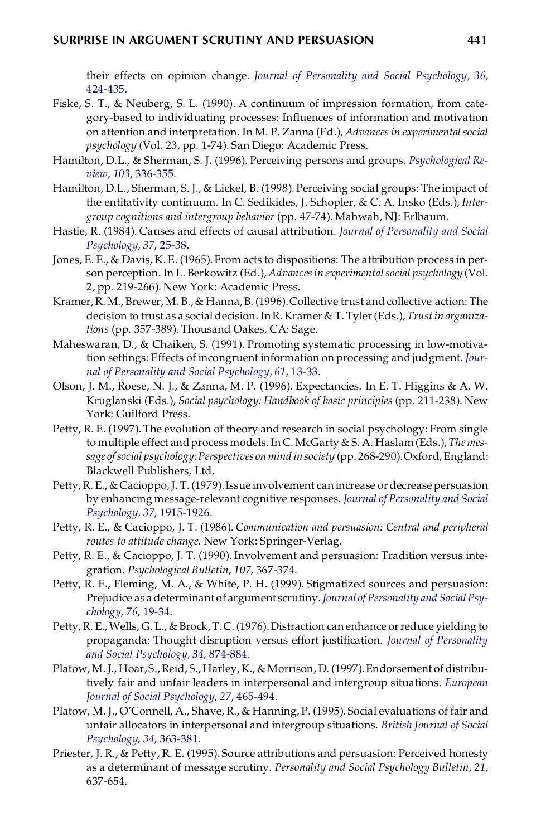their effects on opinion change. *Journal of Personality and Social [Psychology,](http://fidelio.ingentaselect.com/nw=1/rpsv/cgi-bin/linker?ext=a&reqidx=/0022-3514^28^2936L.424[aid=355586]) 36*, [424-435.](http://fidelio.ingentaselect.com/nw=1/rpsv/cgi-bin/linker?ext=a&reqidx=/0022-3514^28^2936L.424[aid=355586])

- Fiske, S. T., & Neuberg, S. L. (1990). A continuum of impression formation, from category-based to individuating processes: Influences of information and motivation on attention and interpretation. In M. P. Zanna (Ed.), *Advancesin experimental social psychology* (Vol. 23, pp. 1-74). San Diego: Academic Press.
- Hamilton, D.L., & Sherman, S. J. (1996). Perceiving persons and groups. *[Psychological](http://fidelio.ingentaselect.com/nw=1/rpsv/cgi-bin/linker?ext=a&reqidx=/0033-295X^28^29103L.336[aid=16884]) Review*, *103*[, 336-355.](http://fidelio.ingentaselect.com/nw=1/rpsv/cgi-bin/linker?ext=a&reqidx=/0033-295X^28^29103L.336[aid=16884])
- Hamilton, D.L., Sherman, S. J., & Lickel, B. (1998).Perceiving social groups: The impact of the entitativity continuum. In C. Sedikides, J. Schopler, & C. A. Insko (Eds.), *Intergroup cognitions and intergroup behavior* (pp. 47-74). Mahwah, NJ: Erlbaum.
- Hastie, R. (1984). Causes and effects of causal attribution. *Journal of [Personality](http://fidelio.ingentaselect.com/nw=1/rpsv/cgi-bin/linker?ext=a&reqidx=/0022-3514^28^2937L.25[aid=348311]) and Social [Psychology, 37](http://fidelio.ingentaselect.com/nw=1/rpsv/cgi-bin/linker?ext=a&reqidx=/0022-3514^28^2937L.25[aid=348311])*, 25-38.
- Jones, E. E., & Davis, K. E. (1965). From acts to dispositions: The attribution process in per son perception. In L.Berkowitz (Ed.), *Advancesin experimentalsocial psychology* (Vol. 2, pp. 219-266). New York: Academic Press.
- Kramer,R. M., Brewer, M. B.,& Hanna,B. (1996).Collective trust and collective action: The decision to trust as a social decision. InR.Kramer& T. Tyler(Eds.), *Trustinorganizations* (pp. 357-389). Thousand Oakes, CA: Sage.
- Maheswaran, D., & Chaiken, S. (1991). Promoting systematic processing in low-motivation settings: Effects of incongruent information on processing and judgment. *[Jour](http://fidelio.ingentaselect.com/nw=1/rpsv/cgi-bin/linker?ext=a&reqidx=/0022-3514^28^2961L.13[aid=16222])[nal of Personality and Social Psychology, 61](http://fidelio.ingentaselect.com/nw=1/rpsv/cgi-bin/linker?ext=a&reqidx=/0022-3514^28^2961L.13[aid=16222])*, 13-33.
- Olson, J. M., Roese, N. J., & Zanna, M. P. (1996). Expectancies. In E. T. Higgins & A. W. Kruglanski (Eds.), *Social psychology: Handbook of basic principles* (pp. 211-238). New York: Guilford Press.
- Petty, R. E. (1997).The evolution of theory and research in social psychology: From single to multiple effect andprocess models. In C.McGarty & S. A. Haslam(Eds.), *Themessage ofsocial psychology:Perspectives onmind insociety* (pp. 268-290).Oxford,England: Blackwell Publishers, Ltd.
- Petty, R. E., & Cacioppo, J. T. (1979).Issue involvement can increase ordecrease persuasion by enhancing message-relevant cognitive responses. *Journal of [Personality](http://fidelio.ingentaselect.com/nw=1/rpsv/cgi-bin/linker?ext=a&reqidx=/0022-3514^28^2937L.1915[aid=767535]) and Social [Psychology, 37](http://fidelio.ingentaselect.com/nw=1/rpsv/cgi-bin/linker?ext=a&reqidx=/0022-3514^28^2937L.1915[aid=767535])*, 1915-1926.
- Petty, R. E., & Cacioppo, J. T. (1986). *Communication and persuasion: Central and peripheral routes to attitude change*. New York: Springer-Verlag.
- Petty, R. E., & Cacioppo, J. T. (1990). Involvement and persuasion: Tradition versus integration. *Psychological Bulletin*, *107*, 367-374.
- Petty, R. E., Fleming, M. A., & White, P. H. (1999). Stigmatized sources and persuasion: Prejudice as a determinant of argument scrutiny.*Journal of [Personality](http://fidelio.ingentaselect.com/nw=1/rpsv/cgi-bin/linker?ext=a&reqidx=/0022-3514^28^2976L.19[aid=1126507]) and SocialPsy[chology](http://fidelio.ingentaselect.com/nw=1/rpsv/cgi-bin/linker?ext=a&reqidx=/0022-3514^28^2976L.19[aid=1126507])*, *76*, 19-34.
- Petty, R. E., Wells, G. L., & Brock, T. C. (1976). Distraction can enhance or reduce yielding to propaganda: Thought disruption versus effort justification. *Journal of [Personality](http://fidelio.ingentaselect.com/nw=1/rpsv/cgi-bin/linker?ext=a&reqidx=/0022-3514^28^2934L.874[aid=1115997]) [and Social Psychology, 34](http://fidelio.ingentaselect.com/nw=1/rpsv/cgi-bin/linker?ext=a&reqidx=/0022-3514^28^2934L.874[aid=1115997])*, 874-884.
- Platow, M. J., Hoar, S., Reid, S., Harley, K., & Morrison, D. (1997). Endorsement of distributively fair and unfair leaders in interpersonal and intergroup situations. *[European](http://fidelio.ingentaselect.com/nw=1/rpsv/cgi-bin/linker?ext=a&reqidx=/0046-2772^28^2927L.465[aid=1434972]) [Journal of Social Psychology](http://fidelio.ingentaselect.com/nw=1/rpsv/cgi-bin/linker?ext=a&reqidx=/0046-2772^28^2927L.465[aid=1434972])*, *27*, 465-494.
- Platow, M. J., O'Connell, A., Shave, R., & Hanning, P. (1995). Social evaluations of fair and unfair allocators in interpersonal and intergroup situations. *British [Journal](http://fidelio.ingentaselect.com/nw=1/rpsv/cgi-bin/linker?ext=a&reqidx=/0144-6665^28^2934L.363[aid=1434973]) of Social [Psychology](http://fidelio.ingentaselect.com/nw=1/rpsv/cgi-bin/linker?ext=a&reqidx=/0144-6665^28^2934L.363[aid=1434973])*, *34*, 363-381.
- Priester, J. R., & Petty, R. E. (1995). Source attributions and persuasion: Perceived honesty as a determinant of message scrutiny. *Personality and Social Psychology Bulletin, 21*, 637-654.